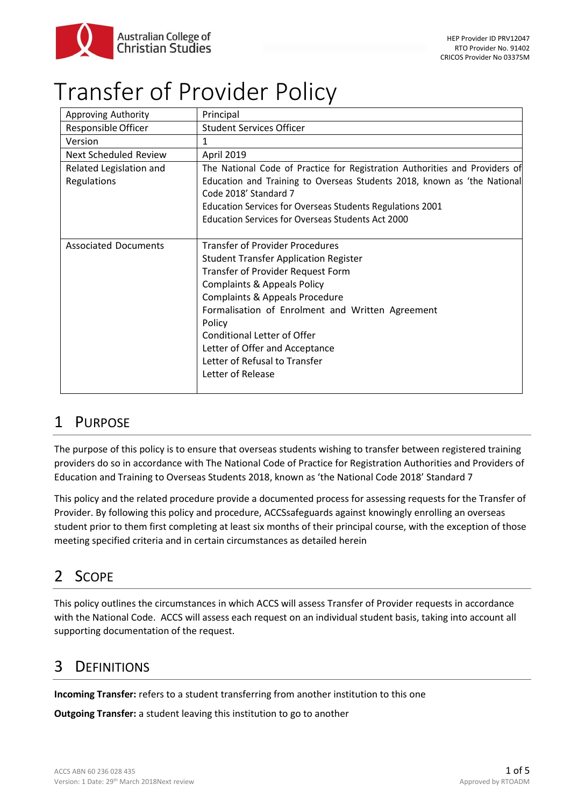

# Transfer of Provider Policy

| Approving Authority          | Principal                                                                                         |
|------------------------------|---------------------------------------------------------------------------------------------------|
| Responsible Officer          | <b>Student Services Officer</b>                                                                   |
| Version                      | 1                                                                                                 |
| <b>Next Scheduled Review</b> | <b>April 2019</b>                                                                                 |
| Related Legislation and      | The National Code of Practice for Registration Authorities and Providers of                       |
| <b>Regulations</b>           | Education and Training to Overseas Students 2018, known as 'the National<br>Code 2018' Standard 7 |
|                              | Education Services for Overseas Students Regulations 2001                                         |
|                              | Education Services for Overseas Students Act 2000                                                 |
|                              |                                                                                                   |
| <b>Associated Documents</b>  | <b>Transfer of Provider Procedures</b>                                                            |
|                              | <b>Student Transfer Application Register</b>                                                      |
|                              | Transfer of Provider Request Form                                                                 |
|                              | <b>Complaints &amp; Appeals Policy</b>                                                            |
|                              | Complaints & Appeals Procedure                                                                    |
|                              | Formalisation of Enrolment and Written Agreement                                                  |
|                              | Policy                                                                                            |
|                              | <b>Conditional Letter of Offer</b>                                                                |
|                              | Letter of Offer and Acceptance                                                                    |
|                              | Letter of Refusal to Transfer                                                                     |
|                              | Letter of Release                                                                                 |
|                              |                                                                                                   |

# 1 PURPOSE

The purpose of this policy is to ensure that overseas students wishing to transfer between registered training providers do so in accordance with The National Code of Practice for Registration Authorities and Providers of Education and Training to Overseas Students 2018, known as 'the National Code 2018' Standard 7

This policy and the related procedure provide a documented process for assessing requests for the Transfer of Provider. By following this policy and procedure, ACCSsafeguards against knowingly enrolling an overseas student prior to them first completing at least six months of their principal course, with the exception of those meeting specified criteria and in certain circumstances as detailed herein

# 2 SCOPE

This policy outlines the circumstances in which ACCS will assess Transfer of Provider requests in accordance with the National Code. ACCS will assess each request on an individual student basis, taking into account all supporting documentation of the request.

# 3 DEFINITIONS

**Incoming Transfer:** refers to a student transferring from another institution to this one

**Outgoing Transfer:** a student leaving this institution to go to another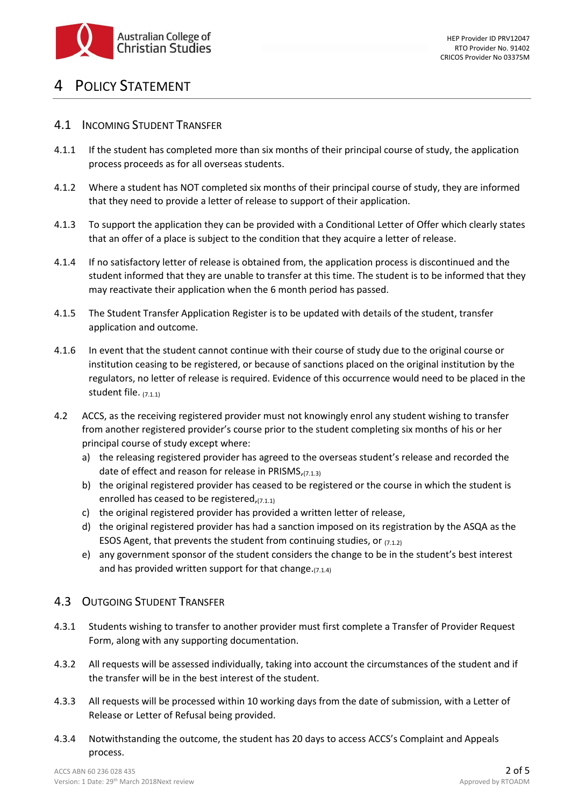

## POLICY STATEMENT

#### 4.1 INCOMING STUDENT TRANSFER

- 4.1.1 If the student has completed more than six months of their principal course of study, the application process proceeds as for all overseas students.
- 4.1.2 Where a student has NOT completed six months of their principal course of study, they are informed that they need to provide a letter of release to support of their application.
- 4.1.3 To support the application they can be provided with a Conditional Letter of Offer which clearly states that an offer of a place is subject to the condition that they acquire a letter of release.
- 4.1.4 If no satisfactory letter of release is obtained from, the application process is discontinued and the student informed that they are unable to transfer at this time. The student is to be informed that they may reactivate their application when the 6 month period has passed.
- 4.1.5 The Student Transfer Application Register is to be updated with details of the student, transfer application and outcome.
- 4.1.6 In event that the student cannot continue with their course of study due to the original course or institution ceasing to be registered, or because of sanctions placed on the original institution by the regulators, no letter of release is required. Evidence of this occurrence would need to be placed in the student file. (7.1.1)
- 4.2 ACCS, as the receiving registered provider must not knowingly enrol any student wishing to transfer from another registered provider's course prior to the student completing six months of his or her principal course of study except where:
	- a) the releasing registered provider has agreed to the overseas student's release and recorded the date of effect and reason for release in PRISMS,(7.1.3)
	- b) the original registered provider has ceased to be registered or the course in which the student is enrolled has ceased to be registered,(7.1.1)
	- c) the original registered provider has provided a written letter of release,
	- d) the original registered provider has had a sanction imposed on its registration by the ASQA as the ESOS Agent, that prevents the student from continuing studies, or  $(7.1.2)$
	- e) any government sponsor of the student considers the change to be in the student's best interest and has provided written support for that change. $(7.1.4)$

#### 4.3 OUTGOING STUDENT TRANSFER

- 4.3.1 Students wishing to transfer to another provider must first complete a Transfer of Provider Request Form, along with any supporting documentation.
- 4.3.2 All requests will be assessed individually, taking into account the circumstances of the student and if the transfer will be in the best interest of the student.
- 4.3.3 All requests will be processed within 10 working days from the date of submission, with a Letter of Release or Letter of Refusal being provided.
- 4.3.4 Notwithstanding the outcome, the student has 20 days to access ACCS's Complaint and Appeals process.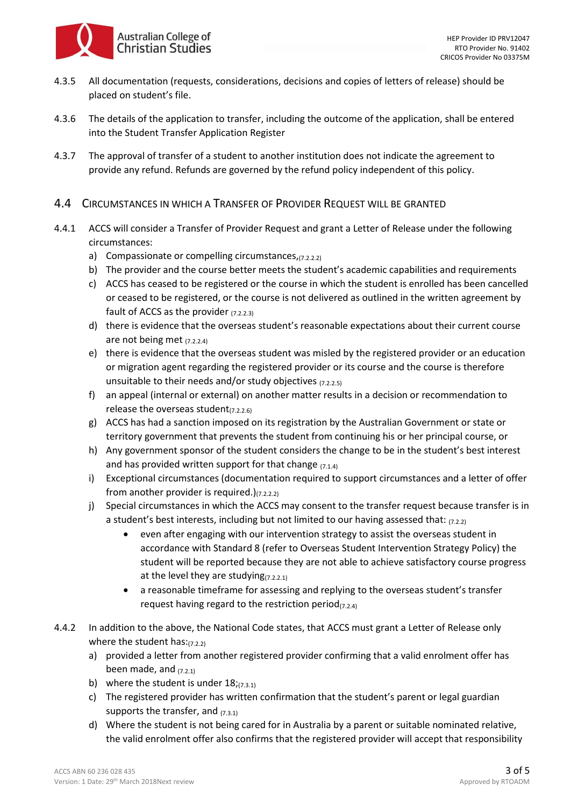

- 4.3.5 All documentation (requests, considerations, decisions and copies of letters of release) should be placed on student's file.
- 4.3.6 The details of the application to transfer, including the outcome of the application, shall be entered into the Student Transfer Application Register
- 4.3.7 The approval of transfer of a student to another institution does not indicate the agreement to provide any refund. Refunds are governed by the refund policy independent of this policy.
- 4.4 CIRCUMSTANCES IN WHICH A TRANSFER OF PROVIDER REQUEST WILL BE GRANTED
- 4.4.1 ACCS will consider a Transfer of Provider Request and grant a Letter of Release under the following circumstances:
	- a) Compassionate or compelling circumstances,(7.2.2.2)
	- b) The provider and the course better meets the student's academic capabilities and requirements
	- c) ACCS has ceased to be registered or the course in which the student is enrolled has been cancelled or ceased to be registered, or the course is not delivered as outlined in the written agreement by fault of ACCS as the provider  $(7.2.2.3)$
	- d) there is evidence that the overseas student's reasonable expectations about their current course are not being met (7.2.2.4)
	- e) there is evidence that the overseas student was misled by the registered provider or an education or migration agent regarding the registered provider or its course and the course is therefore unsuitable to their needs and/or study objectives (7.2.2.5)
	- f) an appeal (internal or external) on another matter results in a decision or recommendation to release the overseas student $_{(7.2.2.6)}$
	- g) ACCS has had a sanction imposed on its registration by the Australian Government or state or territory government that prevents the student from continuing his or her principal course, or
	- h) Any government sponsor of the student considers the change to be in the student's best interest and has provided written support for that change  $(7.1.4)$
	- i) Exceptional circumstances (documentation required to support circumstances and a letter of offer from another provider is required.) $(7.2.2.2)$
	- j) Special circumstances in which the ACCS may consent to the transfer request because transfer is in a student's best interests, including but not limited to our having assessed that:  $(7.2.2)$ 
		- even after engaging with our intervention strategy to assist the overseas student in accordance with Standard 8 (refer to Overseas Student Intervention Strategy Policy) the student will be reported because they are not able to achieve satisfactory course progress at the level they are studying $(7.2.2.1)$
		- a reasonable timeframe for assessing and replying to the overseas student's transfer request having regard to the restriction period $_{(7.2.4)}$
- 4.4.2 In addition to the above, the National Code states, that ACCS must grant a Letter of Release only where the student has: $(7.2.2)$ 
	- a) provided a letter from another registered provider confirming that a valid enrolment offer has been made, and  $(7.2.1)$
	- b) where the student is under  $18$ ;  $(7.3.1)$
	- c) The registered provider has written confirmation that the student's parent or legal guardian supports the transfer, and  $(7.3.1)$
	- d) Where the student is not being cared for in Australia by a parent or suitable nominated relative, the valid enrolment offer also confirms that the registered provider will accept that responsibility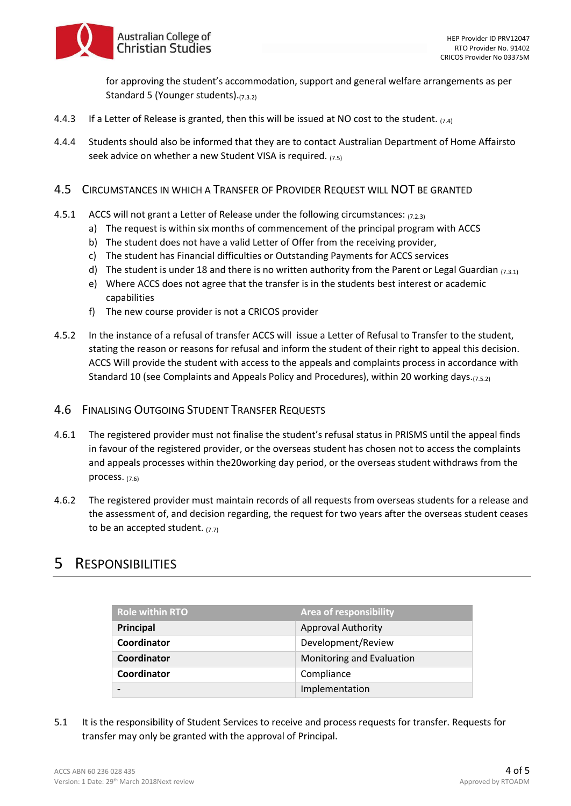Australian College of **Christian Studies** 

> for approving the student's accommodation, support and general welfare arrangements as per Standard 5 (Younger students). (7.3.2)

- 4.4.3 If a Letter of Release is granted, then this will be issued at NO cost to the student.  $(7.4)$
- 4.4.4 Students should also be informed that they are to contact Australian Department of Home Affairsto seek advice on whether a new Student VISA is required.  $(7.5)$
- 4.5 CIRCUMSTANCES IN WHICH A TRANSFER OF PROVIDER REQUEST WILL NOT BE GRANTED
- 4.5.1 ACCS will not grant a Letter of Release under the following circumstances: (7.2.3)
	- a) The request is within six months of commencement of the principal program with ACCS
	- b) The student does not have a valid Letter of Offer from the receiving provider,
	- c) The student has Financial difficulties or Outstanding Payments for ACCS services
	- d) The student is under 18 and there is no written authority from the Parent or Legal Guardian  $(7.3.1)$
	- e) Where ACCS does not agree that the transfer is in the students best interest or academic capabilities
	- f) The new course provider is not a CRICOS provider
- 4.5.2 In the instance of a refusal of transfer ACCS will issue a Letter of Refusal to Transfer to the student, stating the reason or reasons for refusal and inform the student of their right to appeal this decision. ACCS Will provide the student with access to the appeals and complaints process in accordance with Standard 10 (see Complaints and Appeals Policy and Procedures), within 20 working days.(7.5.2)

#### 4.6 FINALISING OUTGOING STUDENT TRANSFER REQUESTS

- 4.6.1 The registered provider must not finalise the student's refusal status in PRISMS until the appeal finds in favour of the registered provider, or the overseas student has chosen not to access the complaints and appeals processes within the20working day period, or the overseas student withdraws from the process. (7.6)
- 4.6.2 The registered provider must maintain records of all requests from overseas students for a release and the assessment of, and decision regarding, the request for two years after the overseas student ceases to be an accepted student.  $(7.7)$

### 5 RESPONSIBILITIES

| <b>Role within RTO</b> | <b>Area of responsibility</b> |
|------------------------|-------------------------------|
| Principal              | <b>Approval Authority</b>     |
| Coordinator            | Development/Review            |
| Coordinator            | Monitoring and Evaluation     |
| Coordinator            | Compliance                    |
|                        | Implementation                |

5.1 It is the responsibility of Student Services to receive and process requests for transfer. Requests for transfer may only be granted with the approval of Principal.